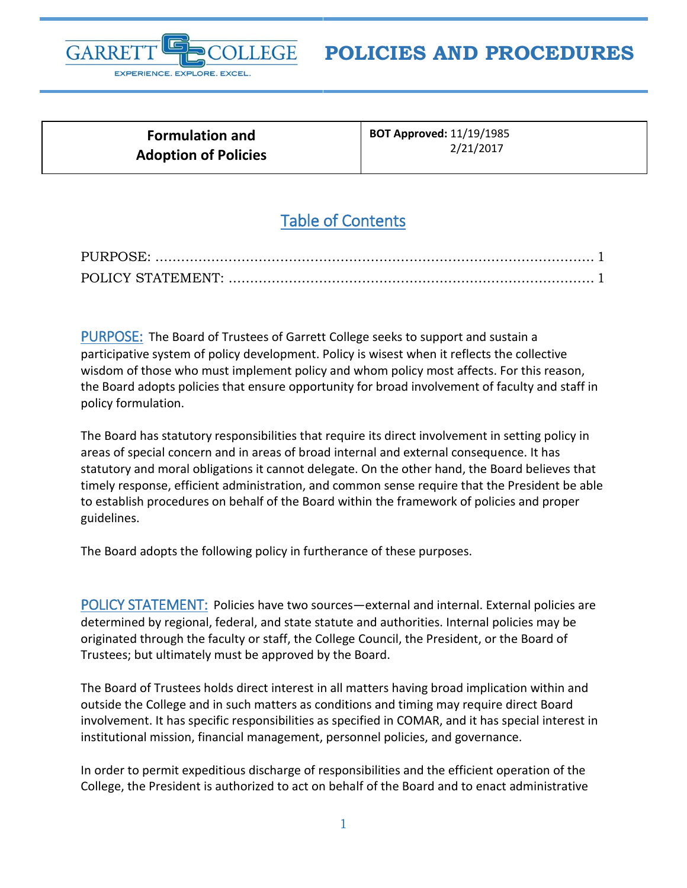

## **POLICIES AND PROCEDURES**

| <b>Formulation and</b>      |  |
|-----------------------------|--|
| <b>Adoption of Policies</b> |  |

**BOT Approved:** 11/19/1985 2/21/2017

## Table of Contents

<span id="page-0-0"></span>PURPOSE: The Board of Trustees of Garrett College seeks to support and sustain a participative system of policy development. Policy is wisest when it reflects the collective wisdom of those who must implement policy and whom policy most affects. For this reason, the Board adopts policies that ensure opportunity for broad involvement of faculty and staff in policy formulation.

The Board has statutory responsibilities that require its direct involvement in setting policy in areas of special concern and in areas of broad internal and external consequence. It has statutory and moral obligations it cannot delegate. On the other hand, the Board believes that timely response, efficient administration, and common sense require that the President be able to establish procedures on behalf of the Board within the framework of policies and proper guidelines.

The Board adopts the following policy in furtherance of these purposes.

<span id="page-0-1"></span>POLICY STATEMENT: Policies have two sources—external and internal. External policies are determined by regional, federal, and state statute and authorities. Internal policies may be originated through the faculty or staff, the College Council, the President, or the Board of Trustees; but ultimately must be approved by the Board.

The Board of Trustees holds direct interest in all matters having broad implication within and outside the College and in such matters as conditions and timing may require direct Board involvement. It has specific responsibilities as specified in COMAR, and it has special interest in institutional mission, financial management, personnel policies, and governance.

In order to permit expeditious discharge of responsibilities and the efficient operation of the College, the President is authorized to act on behalf of the Board and to enact administrative